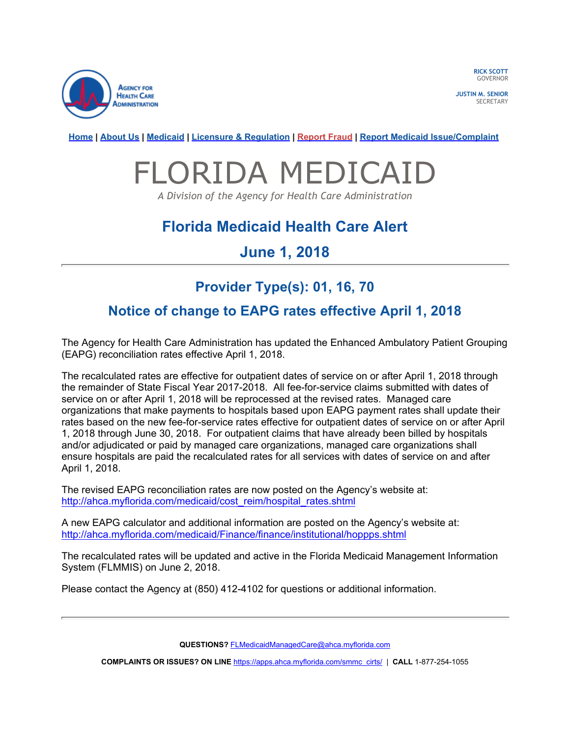

RICK SCOTT **GOVERNOR** 

JUSTIN M. SENIOR **SECRETARY** 

Home | About Us | Medicaid | Licensure & Regulation | Report Fraud | Report Medicaid Issue/Complaint

# FLORIDA MEDICAID

A Division of the Agency for Health Care Administration

## Florida Medicaid Health Care Alert

### June 1, 2018

## Provider Type(s): 01, 16, 70

#### Notice of change to EAPG rates effective April 1, 2018

The Agency for Health Care Administration has updated the Enhanced Ambulatory Patient Grouping (EAPG) reconciliation rates effective April 1, 2018.

The recalculated rates are effective for outpatient dates of service on or after April 1, 2018 through the remainder of State Fiscal Year 2017-2018. All fee-for-service claims submitted with dates of service on or after April 1, 2018 will be reprocessed at the revised rates. Managed care organizations that make payments to hospitals based upon EAPG payment rates shall update their rates based on the new fee-for-service rates effective for outpatient dates of service on or after April 1, 2018 through June 30, 2018. For outpatient claims that have already been billed by hospitals and/or adjudicated or paid by managed care organizations, managed care organizations shall ensure hospitals are paid the recalculated rates for all services with dates of service on and after April 1, 2018.

The revised EAPG reconciliation rates are now posted on the Agency's website at: http://ahca.myflorida.com/medicaid/cost\_reim/hospital\_rates.shtml

A new EAPG calculator and additional information are posted on the Agency's website at: http://ahca.myflorida.com/medicaid/Finance/finance/institutional/hoppps.shtml

The recalculated rates will be updated and active in the Florida Medicaid Management Information System (FLMMIS) on June 2, 2018.

Please contact the Agency at (850) 412-4102 for questions or additional information.

QUESTIONS? FLMedicaidManagedCare@ahca.myflorida.com

COMPLAINTS OR ISSUES? ON LINE https://apps.ahca.myflorida.com/smmc\_cirts/ | CALL 1-877-254-1055